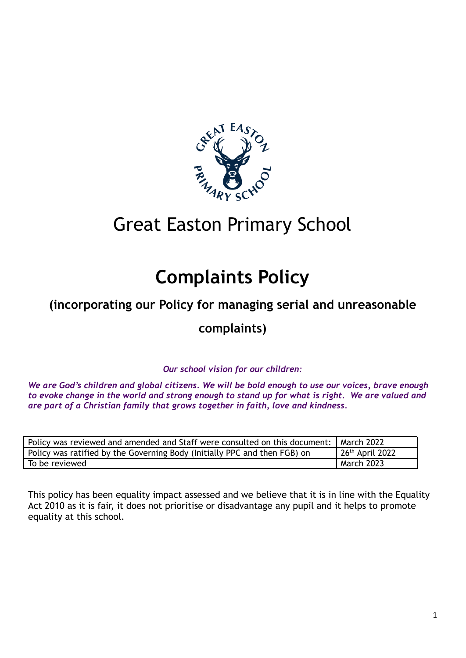

# Great Easton Primary School

# **Complaints Policy**

# **(incorporating our Policy for managing serial and unreasonable**

# **complaints)**

*Our school vision for our children:*

*We are God's children and global citizens. We will be bold enough to use our voices, brave enough* to evoke change in the world and strong enough to stand up for what is right. We are valued and *are part of a Christian family that grows together in faith, love and kindness.*

| Policy was reviewed and amended and Staff were consulted on this document: | l March 2022    |
|----------------------------------------------------------------------------|-----------------|
| Policy was ratified by the Governing Body (Initially PPC and then FGB) on  | 26th April 2022 |
| To be reviewed                                                             | March 2023      |

This policy has been equality impact assessed and we believe that it is in line with the Equality Act 2010 as it is fair, it does not prioritise or disadvantage any pupil and it helps to promote equality at this school.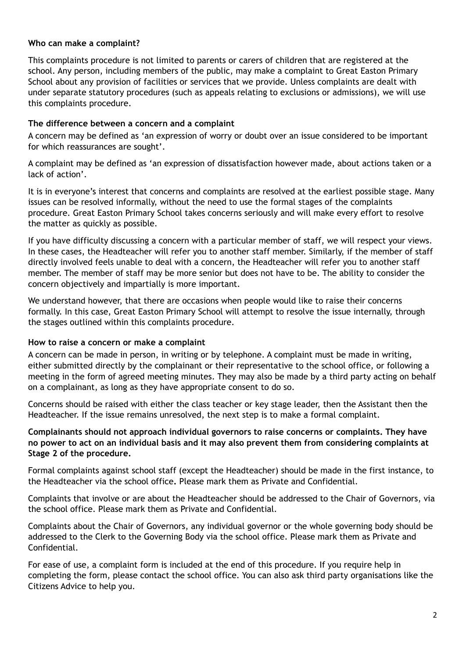#### **Who can make a complaint?**

This complaints procedure is not limited to parents or carers of children that are registered at the school. Any person, including members of the public, may make a complaint to Great Easton Primary School about any provision of facilities or services that we provide. Unless complaints are dealt with under separate statutory procedures (such as appeals relating to exclusions or admissions), we will use this complaints procedure.

#### **The difference between a concern and a complaint**

A concern may be defined as 'an expression of worry or doubt over an issue considered to be important for which reassurances are sought'.

A complaint may be defined as 'an expression of dissatisfaction however made, about actions taken or a lack of action'.

It is in everyone's interest that concerns and complaints are resolved at the earliest possible stage. Many issues can be resolved informally, without the need to use the formal stages of the complaints procedure. Great Easton Primary School takes concerns seriously and will make every effort to resolve the matter as quickly as possible.

If you have difficulty discussing a concern with a particular member of staff, we will respect your views. In these cases, the Headteacher will refer you to another staff member. Similarly, if the member of staff directly involved feels unable to deal with a concern, the Headteacher will refer you to another staff member. The member of staff may be more senior but does not have to be. The ability to consider the concern objectively and impartially is more important.

We understand however, that there are occasions when people would like to raise their concerns formally. In this case, Great Easton Primary School will attempt to resolve the issue internally, through the stages outlined within this complaints procedure.

#### **How to raise a concern or make a complaint**

A concern can be made in person, in writing or by telephone. A complaint must be made in writing, either submitted directly by the complainant or their representative to the school office, or following a meeting in the form of agreed meeting minutes. They may also be made by a third party acting on behalf on a complainant, as long as they have appropriate consent to do so.

Concerns should be raised with either the class teacher or key stage leader, then the Assistant then the Headteacher. If the issue remains unresolved, the next step is to make a formal complaint.

#### **Complainants should not approach individual governors to raise concerns or complaints. They have no power to act on an individual basis and it may also prevent them from considering complaints at Stage 2 of the procedure.**

Formal complaints against school staff (except the Headteacher) should be made in the first instance, to the Headteacher via the school office**.** Please mark them as Private and Confidential.

Complaints that involve or are about the Headteacher should be addressed to the Chair of Governors, via the school office. Please mark them as Private and Confidential.

Complaints about the Chair of Governors, any individual governor or the whole governing body should be addressed to the Clerk to the Governing Body via the school office. Please mark them as Private and Confidential.

For ease of use, a complaint form is included at the end of this procedure. If you require help in completing the form, please contact the school office. You can also ask third party organisations like the Citizens Advice to help you.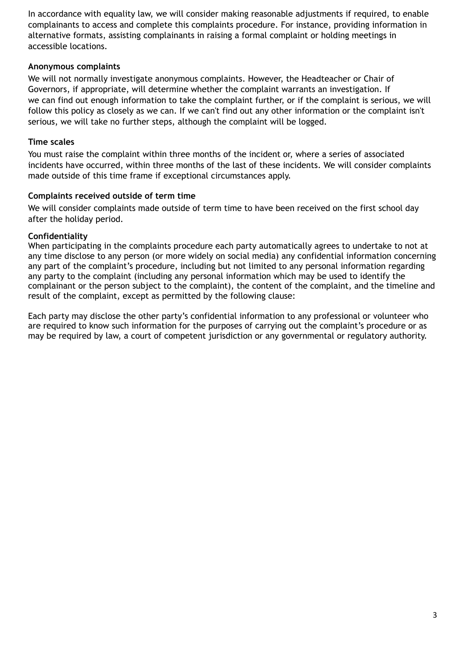In accordance with equality law, we will consider making reasonable adjustments if required, to enable complainants to access and complete this complaints procedure. For instance, providing information in alternative formats, assisting complainants in raising a formal complaint or holding meetings in accessible locations.

#### **Anonymous complaints**

We will not normally investigate anonymous complaints. However, the Headteacher or Chair of Governors, if appropriate, will determine whether the complaint warrants an investigation. If we can find out enough information to take the complaint further, or if the complaint is serious, we will follow this policy as closely as we can. If we can't find out any other information or the complaint isn't serious, we will take no further steps, although the complaint will be logged.

#### **Time scales**

You must raise the complaint within three months of the incident or, where a series of associated incidents have occurred, within three months of the last of these incidents. We will consider complaints made outside of this time frame if exceptional circumstances apply.

#### **Complaints received outside of term time**

We will consider complaints made outside of term time to have been received on the first school day after the holiday period.

#### **Confidentiality**

When participating in the complaints procedure each party automatically agrees to undertake to not at any time disclose to any person (or more widely on social media) any confidential information concerning any part of the complaint's procedure, including but not limited to any personal information regarding any party to the complaint (including any personal information which may be used to identify the complainant or the person subject to the complaint), the content of the complaint, and the timeline and result of the complaint, except as permitted by the following clause:

Each party may disclose the other party's confidential information to any professional or volunteer who are required to know such information for the purposes of carrying out the complaint's procedure or as may be required by law, a court of competent jurisdiction or any governmental or regulatory authority.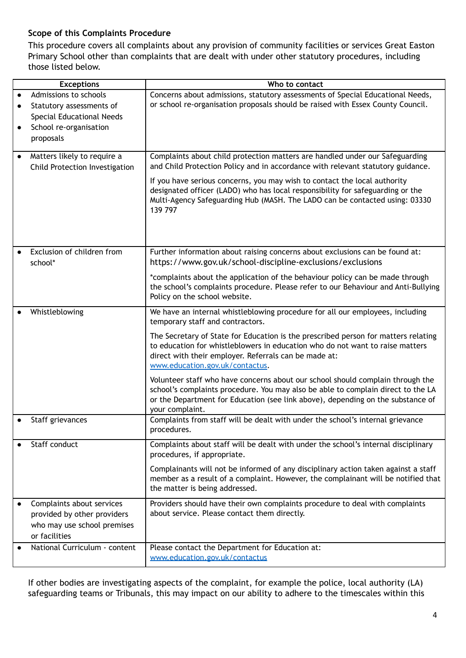## **Scope of this Complaints Procedure**

This procedure covers all complaints about any provision of community facilities or services Great Easton Primary School other than complaints that are dealt with under other statutory procedures, including those listed below.

|           | <b>Exceptions</b>                                                                                        | Who to contact                                                                                                                                                                                                                                                           |
|-----------|----------------------------------------------------------------------------------------------------------|--------------------------------------------------------------------------------------------------------------------------------------------------------------------------------------------------------------------------------------------------------------------------|
|           | Admissions to schools                                                                                    | Concerns about admissions, statutory assessments of Special Educational Needs,                                                                                                                                                                                           |
| $\bullet$ | Statutory assessments of                                                                                 | or school re-organisation proposals should be raised with Essex County Council.                                                                                                                                                                                          |
|           | <b>Special Educational Needs</b>                                                                         |                                                                                                                                                                                                                                                                          |
| $\bullet$ | School re-organisation                                                                                   |                                                                                                                                                                                                                                                                          |
|           | proposals                                                                                                |                                                                                                                                                                                                                                                                          |
|           |                                                                                                          |                                                                                                                                                                                                                                                                          |
| $\bullet$ | Matters likely to require a<br>Child Protection Investigation                                            | Complaints about child protection matters are handled under our Safeguarding<br>and Child Protection Policy and in accordance with relevant statutory guidance.                                                                                                          |
|           |                                                                                                          | If you have serious concerns, you may wish to contact the local authority<br>designated officer (LADO) who has local responsibility for safeguarding or the<br>Multi-Agency Safeguarding Hub (MASH. The LADO can be contacted using: 03330<br>139 797                    |
| $\bullet$ | Exclusion of children from                                                                               | Further information about raising concerns about exclusions can be found at:                                                                                                                                                                                             |
|           | school*                                                                                                  | https://www.gov.uk/school-discipline-exclusions/exclusions                                                                                                                                                                                                               |
|           |                                                                                                          | *complaints about the application of the behaviour policy can be made through<br>the school's complaints procedure. Please refer to our Behaviour and Anti-Bullying<br>Policy on the school website.                                                                     |
|           | Whistleblowing                                                                                           | We have an internal whistleblowing procedure for all our employees, including<br>temporary staff and contractors.                                                                                                                                                        |
|           |                                                                                                          | The Secretary of State for Education is the prescribed person for matters relating<br>to education for whistleblowers in education who do not want to raise matters<br>direct with their employer. Referrals can be made at:<br>www.education.gov.uk/contactus.          |
|           |                                                                                                          | Volunteer staff who have concerns about our school should complain through the<br>school's complaints procedure. You may also be able to complain direct to the LA<br>or the Department for Education (see link above), depending on the substance of<br>your complaint. |
|           | Staff grievances                                                                                         | Complaints from staff will be dealt with under the school's internal grievance<br>procedures.                                                                                                                                                                            |
|           | Staff conduct                                                                                            | Complaints about staff will be dealt with under the school's internal disciplinary<br>procedures, if appropriate.                                                                                                                                                        |
|           |                                                                                                          | Complainants will not be informed of any disciplinary action taken against a staff<br>member as a result of a complaint. However, the complainant will be notified that<br>the matter is being addressed.                                                                |
| $\bullet$ | Complaints about services<br>provided by other providers<br>who may use school premises<br>or facilities | Providers should have their own complaints procedure to deal with complaints<br>about service. Please contact them directly.                                                                                                                                             |
| $\bullet$ | National Curriculum - content                                                                            | Please contact the Department for Education at:<br>www.education.gov.uk/contactus                                                                                                                                                                                        |

If other bodies are investigating aspects of the complaint, for example the police, local authority (LA) safeguarding teams or Tribunals, this may impact on our ability to adhere to the timescales within this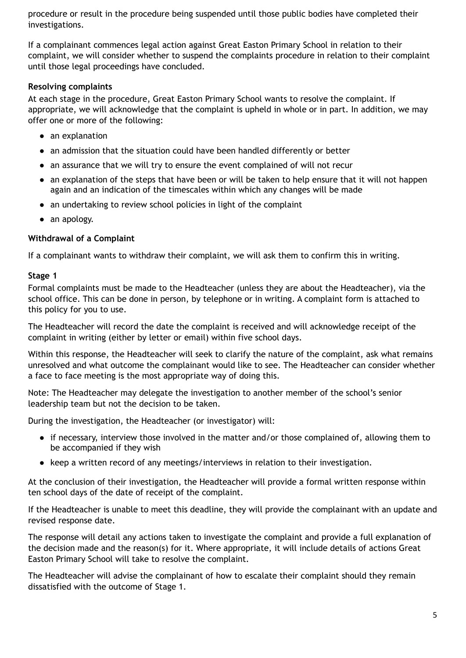procedure or result in the procedure being suspended until those public bodies have completed their investigations.

If a complainant commences legal action against Great Easton Primary School in relation to their complaint, we will consider whether to suspend the complaints procedure in relation to their complaint until those legal proceedings have concluded.

## **Resolving complaints**

At each stage in the procedure, Great Easton Primary School wants to resolve the complaint. If appropriate, we will acknowledge that the complaint is upheld in whole or in part. In addition, we may offer one or more of the following:

- an explanation
- an admission that the situation could have been handled differently or better
- an assurance that we will try to ensure the event complained of will not recur
- an explanation of the steps that have been or will be taken to help ensure that it will not happen again and an indication of the timescales within which any changes will be made
- an undertaking to review school policies in light of the complaint
- an apology.

### **Withdrawal of a Complaint**

If a complainant wants to withdraw their complaint, we will ask them to confirm this in writing.

#### **Stage 1**

Formal complaints must be made to the Headteacher (unless they are about the Headteacher), via the school office. This can be done in person, by telephone or in writing. A complaint form is attached to this policy for you to use.

The Headteacher will record the date the complaint is received and will acknowledge receipt of the complaint in writing (either by letter or email) within five school days.

Within this response, the Headteacher will seek to clarify the nature of the complaint, ask what remains unresolved and what outcome the complainant would like to see. The Headteacher can consider whether a face to face meeting is the most appropriate way of doing this.

Note: The Headteacher may delegate the investigation to another member of the school's senior leadership team but not the decision to be taken.

During the investigation, the Headteacher (or investigator) will:

- if necessary, interview those involved in the matter and/or those complained of, allowing them to be accompanied if they wish
- keep a written record of any meetings/interviews in relation to their investigation.

At the conclusion of their investigation, the Headteacher will provide a formal written response within ten school days of the date of receipt of the complaint.

If the Headteacher is unable to meet this deadline, they will provide the complainant with an update and revised response date.

The response will detail any actions taken to investigate the complaint and provide a full explanation of the decision made and the reason(s) for it. Where appropriate, it will include details of actions Great Easton Primary School will take to resolve the complaint.

The Headteacher will advise the complainant of how to escalate their complaint should they remain dissatisfied with the outcome of Stage 1.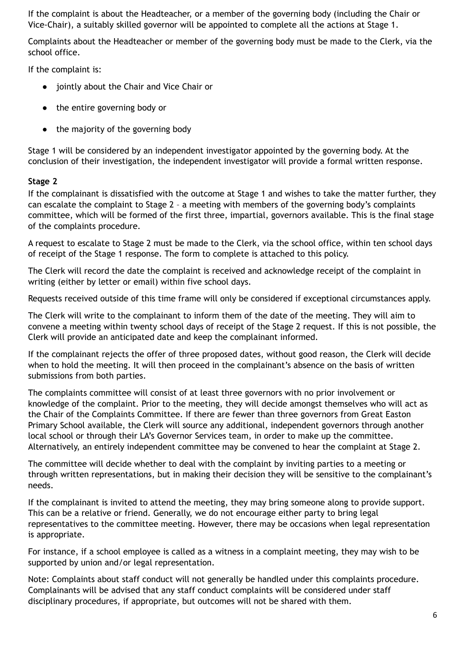If the complaint is about the Headteacher, or a member of the governing body (including the Chair or Vice-Chair), a suitably skilled governor will be appointed to complete all the actions at Stage 1.

Complaints about the Headteacher or member of the governing body must be made to the Clerk, via the school office.

If the complaint is:

- jointly about the Chair and Vice Chair or
- the entire governing body or
- the majority of the governing body

Stage 1 will be considered by an independent investigator appointed by the governing body. At the conclusion of their investigation, the independent investigator will provide a formal written response.

## **Stage 2**

If the complainant is dissatisfied with the outcome at Stage 1 and wishes to take the matter further, they can escalate the complaint to Stage 2 – a meeting with members of the governing body's complaints committee, which will be formed of the first three, impartial, governors available. This is the final stage of the complaints procedure.

A request to escalate to Stage 2 must be made to the Clerk, via the school office, within ten school days of receipt of the Stage 1 response. The form to complete is attached to this policy.

The Clerk will record the date the complaint is received and acknowledge receipt of the complaint in writing (either by letter or email) within five school days.

Requests received outside of this time frame will only be considered if exceptional circumstances apply.

The Clerk will write to the complainant to inform them of the date of the meeting. They will aim to convene a meeting within twenty school days of receipt of the Stage 2 request. If this is not possible, the Clerk will provide an anticipated date and keep the complainant informed.

If the complainant rejects the offer of three proposed dates, without good reason, the Clerk will decide when to hold the meeting. It will then proceed in the complainant's absence on the basis of written submissions from both parties.

The complaints committee will consist of at least three governors with no prior involvement or knowledge of the complaint. Prior to the meeting, they will decide amongst themselves who will act as the Chair of the Complaints Committee. If there are fewer than three governors from Great Easton Primary School available, the Clerk will source any additional, independent governors through another local school or through their LA's Governor Services team, in order to make up the committee. Alternatively, an entirely independent committee may be convened to hear the complaint at Stage 2.

The committee will decide whether to deal with the complaint by inviting parties to a meeting or through written representations, but in making their decision they will be sensitive to the complainant's needs.

If the complainant is invited to attend the meeting, they may bring someone along to provide support. This can be a relative or friend. Generally, we do not encourage either party to bring legal representatives to the committee meeting. However, there may be occasions when legal representation is appropriate.

For instance, if a school employee is called as a witness in a complaint meeting, they may wish to be supported by union and/or legal representation.

Note: Complaints about staff conduct will not generally be handled under this complaints procedure. Complainants will be advised that any staff conduct complaints will be considered under staff disciplinary procedures, if appropriate, but outcomes will not be shared with them.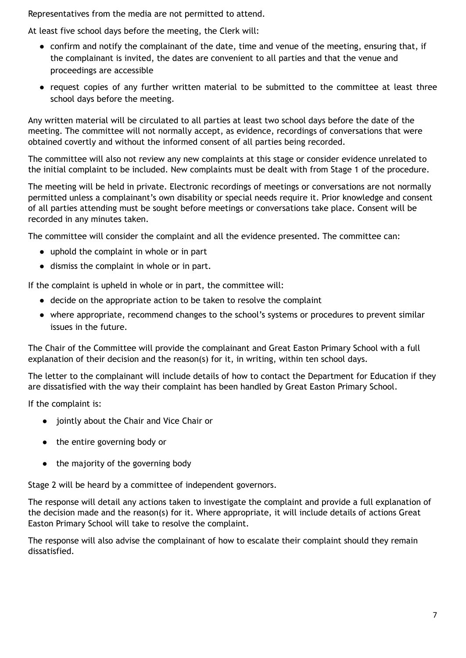Representatives from the media are not permitted to attend.

At least five school days before the meeting, the Clerk will:

- confirm and notify the complainant of the date, time and venue of the meeting, ensuring that, if the complainant is invited, the dates are convenient to all parties and that the venue and proceedings are accessible
- request copies of any further written material to be submitted to the committee at least three school days before the meeting.

Any written material will be circulated to all parties at least two school days before the date of the meeting. The committee will not normally accept, as evidence, recordings of conversations that were obtained covertly and without the informed consent of all parties being recorded.

The committee will also not review any new complaints at this stage or consider evidence unrelated to the initial complaint to be included. New complaints must be dealt with from Stage 1 of the procedure.

The meeting will be held in private. Electronic recordings of meetings or conversations are not normally permitted unless a complainant's own disability or special needs require it. Prior knowledge and consent of all parties attending must be sought before meetings or conversations take place. Consent will be recorded in any minutes taken.

The committee will consider the complaint and all the evidence presented. The committee can:

- uphold the complaint in whole or in part
- dismiss the complaint in whole or in part.

If the complaint is upheld in whole or in part, the committee will:

- decide on the appropriate action to be taken to resolve the complaint
- where appropriate, recommend changes to the school's systems or procedures to prevent similar issues in the future.

The Chair of the Committee will provide the complainant and Great Easton Primary School with a full explanation of their decision and the reason(s) for it, in writing, within ten school days.

The letter to the complainant will include details of how to contact the Department for Education if they are dissatisfied with the way their complaint has been handled by Great Easton Primary School.

If the complaint is:

- jointly about the Chair and Vice Chair or
- the entire governing body or
- the majority of the governing body

Stage 2 will be heard by a committee of independent governors.

The response will detail any actions taken to investigate the complaint and provide a full explanation of the decision made and the reason(s) for it. Where appropriate, it will include details of actions Great Easton Primary School will take to resolve the complaint.

The response will also advise the complainant of how to escalate their complaint should they remain dissatisfied.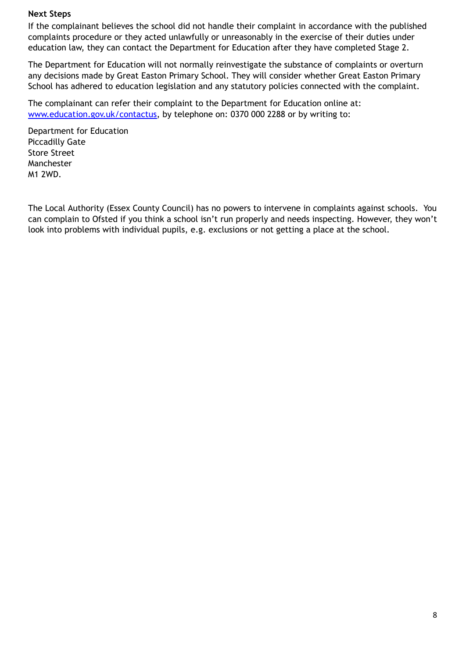#### **Next Steps**

If the complainant believes the school did not handle their complaint in accordance with the published complaints procedure or they acted unlawfully or unreasonably in the exercise of their duties under education law, they can contact the Department for Education after they have completed Stage 2.

The Department for Education will not normally reinvestigate the substance of complaints or overturn any decisions made by Great Easton Primary School. They will consider whether Great Easton Primary School has adhered to education legislation and any statutory policies connected with the complaint.

The complainant can refer their complaint to the Department for Education online at: [www.education.gov.uk/contactus,](http://www.education.gov.uk/contactus) by telephone on: 0370 000 2288 or by writing to:

Department for Education Piccadilly Gate Store Street Manchester M1 2WD.

The Local Authority (Essex County Council) has no powers to intervene in complaints against schools. You can complain to Ofsted if you think a school isn't run properly and needs inspecting. However, they won't look into problems with individual pupils, e.g. exclusions or not getting a place at the school.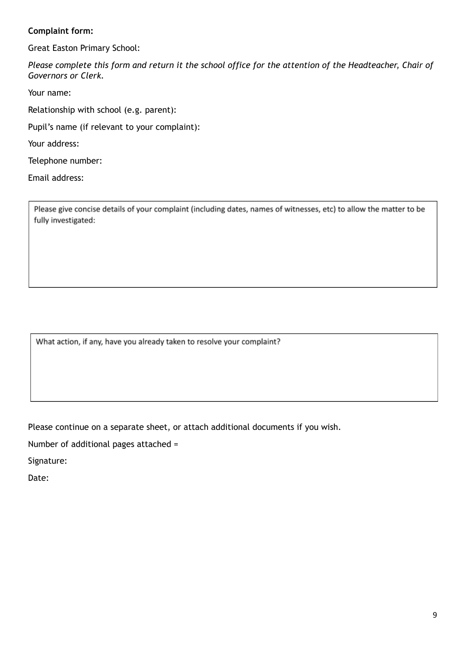#### **Complaint form:**

Great Easton Primary School:

Please complete this form and return it the school office for the attention of the Headteacher, Chair of *Governors or Clerk.*

Your name:

Relationship with school (e.g. parent):

Pupil's name (if relevant to your complaint):

Your address:

Telephone number:

Email address:

Please give concise details of your complaint (including dates, names of witnesses, etc) to allow the matter to be fully investigated:

What action, if any, have you already taken to resolve your complaint?

Please continue on a separate sheet, or attach additional documents if you wish.

Number of additional pages attached =

Signature:

Date: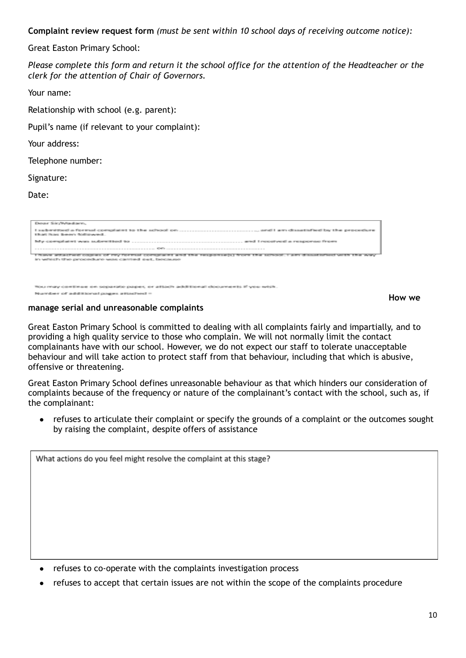**Complaint review request form** *(must be sent within 10 school days of receiving outcome notice):*

Great Easton Primary School:

Please complete this form and return it the school office for the attention of the Headteacher or the *clerk for the attention of Chair of Governors.*

Your name:

Relationship with school (e.g. parent):

Pupil's name (if relevant to your complaint):

Your address:

Telephone number:

Signature:

Date:

| Desser SiryWardtern,                                                                                                                                                         |
|------------------------------------------------------------------------------------------------------------------------------------------------------------------------------|
| That has been a follower.                                                                                                                                                    |
|                                                                                                                                                                              |
|                                                                                                                                                                              |
| ■ 「最初の またためには 生の 国内主義 おかば のはだ わりつか 国内主義 まおとう (の) とびとの) におい (の) はない (日本の) の) において (日本の) (の) の) には (日本の) (の) に<br>in within the crocedure was sometime continue to the control |
|                                                                                                                                                                              |

the paper, or attach additional documents if you wish mber of additional gages attached a

**How we**

#### **manage serial and unreasonable complaints**

Great Easton Primary School is committed to dealing with all complaints fairly and impartially, and to providing a high quality service to those who complain. We will not normally limit the contact complainants have with our school. However, we do not expect our staff to tolerate unacceptable behaviour and will take action to protect staff from that behaviour, including that which is abusive, offensive or threatening.

Great Easton Primary School defines unreasonable behaviour as that which hinders our consideration of complaints because of the frequency or nature of the complainant's contact with the school, such as, if the complainant:

● refuses to articulate their complaint or specify the grounds of a complaint or the outcomes sought by raising the complaint, despite offers of assistance

What actions do you feel might resolve the complaint at this stage?

- refuses to co-operate with the complaints investigation process
- refuses to accept that certain issues are not within the scope of the complaints procedure